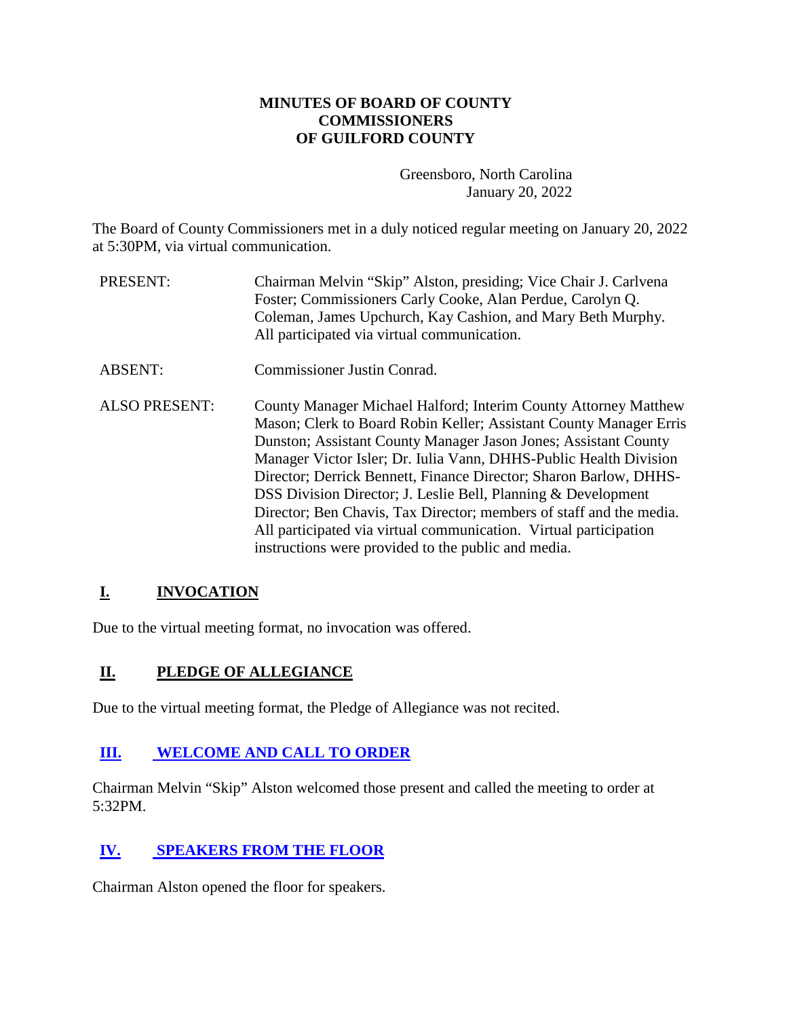# **MINUTES OF BOARD OF COUNTY COMMISSIONERS OF GUILFORD COUNTY**

Greensboro, North Carolina January 20, 2022

The Board of County Commissioners met in a duly noticed regular meeting on January 20, 2022 at 5:30PM, via virtual communication.

- PRESENT: Chairman Melvin "Skip" Alston, presiding; Vice Chair J. Carlvena Foster; Commissioners Carly Cooke, Alan Perdue, Carolyn Q. Coleman, James Upchurch, Kay Cashion, and Mary Beth Murphy. All participated via virtual communication.
- ABSENT: Commissioner Justin Conrad.
- ALSO PRESENT: County Manager Michael Halford; Interim County Attorney Matthew Mason; Clerk to Board Robin Keller; Assistant County Manager Erris Dunston; Assistant County Manager Jason Jones; Assistant County Manager Victor Isler; Dr. Iulia Vann, DHHS-Public Health Division Director; Derrick Bennett, Finance Director; Sharon Barlow, DHHS-DSS Division Director; J. Leslie Bell, Planning & Development Director; Ben Chavis, Tax Director; members of staff and the media. All participated via virtual communication. Virtual participation instructions were provided to the public and media.

# **I. INVOCATION**

Due to the virtual meeting format, no invocation was offered.

## **II. PLEDGE OF ALLEGIANCE**

Due to the virtual meeting format, the Pledge of Allegiance was not recited.

# **[III.](http://guilford.granicus.com/wordlinkreceiver.php?clip_id=323ae847-7abf-11ec-b1e1-0050569183fa&meta_id=3343e4c8-7abf-11ec-b1e1-0050569183fa&time=30) [WELCOME AND CALL TO ORDER](http://guilford.granicus.com/wordlinkreceiver.php?clip_id=323ae847-7abf-11ec-b1e1-0050569183fa&meta_id=3343e4c8-7abf-11ec-b1e1-0050569183fa&time=30)**

Chairman Melvin "Skip" Alston welcomed those present and called the meeting to order at 5:32PM.

# **[IV.](http://guilford.granicus.com/wordlinkreceiver.php?clip_id=323ae847-7abf-11ec-b1e1-0050569183fa&meta_id=3368174f-7abf-11ec-b1e1-0050569183fa&time=63) [SPEAKERS FROM THE FLOOR](http://guilford.granicus.com/wordlinkreceiver.php?clip_id=323ae847-7abf-11ec-b1e1-0050569183fa&meta_id=3368174f-7abf-11ec-b1e1-0050569183fa&time=63)**

Chairman Alston opened the floor for speakers.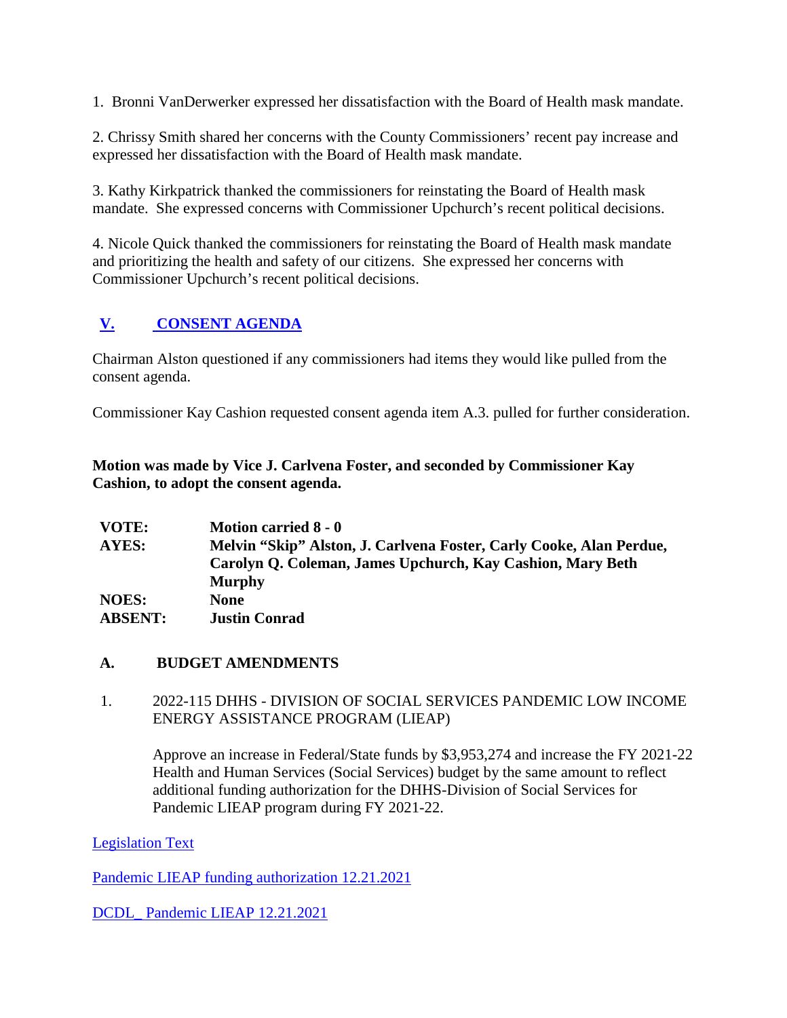1. Bronni VanDerwerker expressed her dissatisfaction with the Board of Health mask mandate.

2. Chrissy Smith shared her concerns with the County Commissioners' recent pay increase and expressed her dissatisfaction with the Board of Health mask mandate.

3. Kathy Kirkpatrick thanked the commissioners for reinstating the Board of Health mask mandate. She expressed concerns with Commissioner Upchurch's recent political decisions.

4. Nicole Quick thanked the commissioners for reinstating the Board of Health mask mandate and prioritizing the health and safety of our citizens. She expressed her concerns with Commissioner Upchurch's recent political decisions.

# **[V.](http://guilford.granicus.com/wordlinkreceiver.php?clip_id=323ae847-7abf-11ec-b1e1-0050569183fa&meta_id=336adbeb-7abf-11ec-b1e1-0050569183fa&time=747) [CONSENT AGENDA](http://guilford.granicus.com/wordlinkreceiver.php?clip_id=323ae847-7abf-11ec-b1e1-0050569183fa&meta_id=336adbeb-7abf-11ec-b1e1-0050569183fa&time=747)**

Chairman Alston questioned if any commissioners had items they would like pulled from the consent agenda.

Commissioner Kay Cashion requested consent agenda item A.3. pulled for further consideration.

**Motion was made by Vice J. Carlvena Foster, and seconded by Commissioner Kay Cashion, to adopt the consent agenda.**

| VOTE:          | <b>Motion carried 8 - 0</b>                                         |
|----------------|---------------------------------------------------------------------|
| AYES:          | Melvin "Skip" Alston, J. Carlvena Foster, Carly Cooke, Alan Perdue, |
|                | Carolyn Q. Coleman, James Upchurch, Kay Cashion, Mary Beth          |
|                | <b>Murphy</b>                                                       |
| <b>NOES:</b>   | <b>None</b>                                                         |
| <b>ABSENT:</b> | <b>Justin Conrad</b>                                                |

## **A. BUDGET AMENDMENTS**

### 1. 2022-115 DHHS - DIVISION OF SOCIAL SERVICES PANDEMIC LOW INCOME ENERGY ASSISTANCE PROGRAM (LIEAP)

Approve an increase in Federal/State funds by \$3,953,274 and increase the FY 2021-22 Health and Human Services (Social Services) budget by the same amount to reflect additional funding authorization for the DHHS-Division of Social Services for Pandemic LIEAP program during FY 2021-22.

[Legislation Text](https://guilford.legistar1.com/daystar.legistar6.sdk.ws/ViewReport.ashx?M=R&From=Granicus&GovernmentGUID=GLFD&N=TextL5&ID=4781&GUID=LATEST&Extra=L5&Title=Legislation+Text&ver=1642694364)

[Pandemic LIEAP funding authorization 12.21.2021](https://guilford.legistar1.com/daystar.legistar6.sdk.ws/View.ashx?M=F&GovernmentGUID=GLFD&LogicalFileName=8bc4c3d4-2c18-4b36-8348-d67ccabb7696.xlsx&From=Granicus)

[DCDL\\_ Pandemic LIEAP 12.21.2021](https://guilford.legistar1.com/daystar.legistar6.sdk.ws/View.ashx?M=F&GovernmentGUID=GLFD&LogicalFileName=7006d730-d282-4a99-a6da-7009c1e43343.pdf&From=Granicus)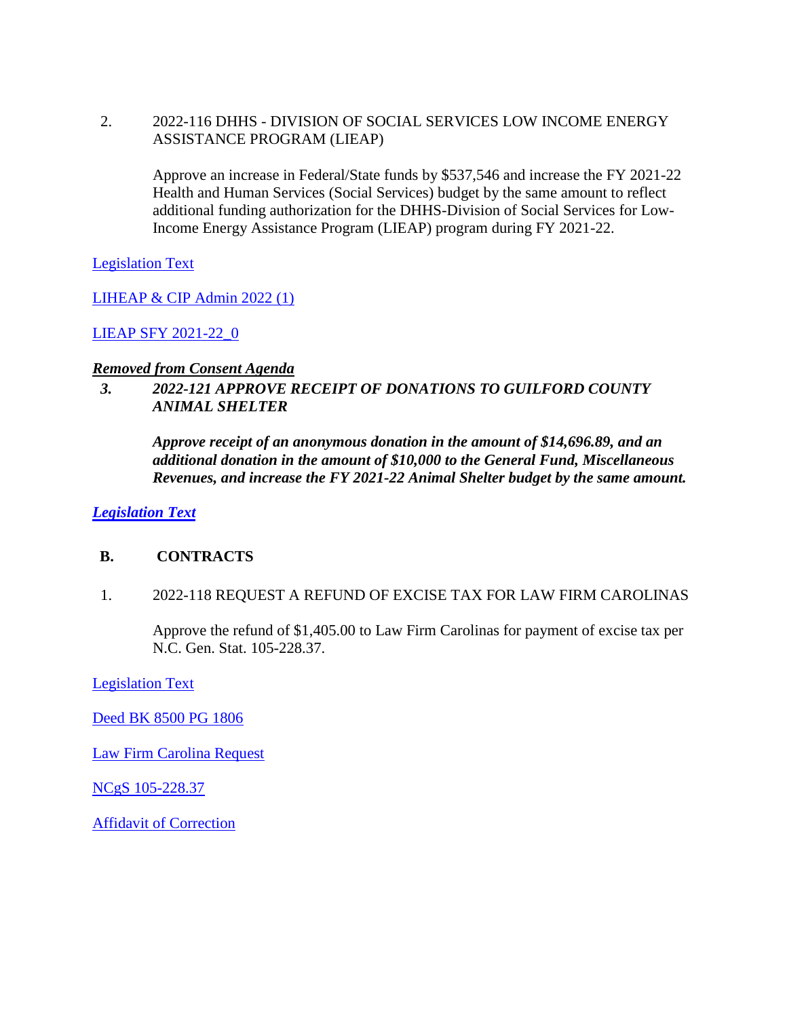2. 2022-116 DHHS - DIVISION OF SOCIAL SERVICES LOW INCOME ENERGY ASSISTANCE PROGRAM (LIEAP)

Approve an increase in Federal/State funds by \$537,546 and increase the FY 2021-22 Health and Human Services (Social Services) budget by the same amount to reflect additional funding authorization for the DHHS-Division of Social Services for Low-Income Energy Assistance Program (LIEAP) program during FY 2021-22.

[Legislation Text](https://guilford.legistar1.com/daystar.legistar6.sdk.ws/ViewReport.ashx?M=R&From=Granicus&GovernmentGUID=GLFD&N=TextL5&ID=4782&GUID=LATEST&Extra=L5&Title=Legislation+Text&ver=1642694364)

[LIHEAP & CIP Admin 2022 \(1\)](https://guilford.legistar1.com/daystar.legistar6.sdk.ws/View.ashx?M=F&GovernmentGUID=GLFD&LogicalFileName=f44eb9d2-1bb5-4cd9-bf3e-ef4d204a7463.xls&From=Granicus)

[LIEAP SFY 2021-22\\_0](https://guilford.legistar1.com/daystar.legistar6.sdk.ws/View.ashx?M=F&GovernmentGUID=GLFD&LogicalFileName=4b8a5598-3eb7-446b-b8b2-bb28f06ff706.xls&From=Granicus)

#### *Removed from Consent Agenda*

## *3. 2022-121 APPROVE RECEIPT OF DONATIONS TO GUILFORD COUNTY ANIMAL SHELTER*

*Approve receipt of an anonymous donation in the amount of \$14,696.89, and an additional donation in the amount of \$10,000 to the General Fund, Miscellaneous Revenues, and increase the FY 2021-22 Animal Shelter budget by the same amount.*

*[Legislation Text](https://guilford.legistar1.com/daystar.legistar6.sdk.ws/ViewReport.ashx?M=R&From=Granicus&GovernmentGUID=GLFD&N=TextL5&ID=4787&GUID=LATEST&Extra=L5&Title=Legislation+Text&ver=1642694364)*

#### **B. CONTRACTS**

1. 2022-118 REQUEST A REFUND OF EXCISE TAX FOR LAW FIRM CAROLINAS

Approve the refund of \$1,405.00 to Law Firm Carolinas for payment of excise tax per N.C. Gen. Stat. 105-228.37.

[Legislation Text](https://guilford.legistar1.com/daystar.legistar6.sdk.ws/ViewReport.ashx?M=R&From=Granicus&GovernmentGUID=GLFD&N=TextL5&ID=4784&GUID=LATEST&Extra=L5&Title=Legislation+Text&ver=1642694364)

[Deed BK 8500 PG 1806](https://guilford.legistar1.com/daystar.legistar6.sdk.ws/View.ashx?M=F&GovernmentGUID=GLFD&LogicalFileName=975f3dc0-60eb-4852-81ec-ea46883c1f65.pdf&From=Granicus)

[Law Firm Carolina Request](https://guilford.legistar1.com/daystar.legistar6.sdk.ws/View.ashx?M=F&GovernmentGUID=GLFD&LogicalFileName=6f17bd44-90bc-41ba-a0c6-0ba1ae7cfdd8.pdf&From=Granicus)

[NCgS 105-228.37](https://guilford.legistar1.com/daystar.legistar6.sdk.ws/View.ashx?M=F&GovernmentGUID=GLFD&LogicalFileName=82f8c651-6afc-40e6-a26a-28df3cee2e03.pdf&From=Granicus)

[Affidavit of Correction](https://guilford.legistar1.com/daystar.legistar6.sdk.ws/View.ashx?M=F&GovernmentGUID=GLFD&LogicalFileName=cb0c29b9-b262-413b-b8d2-1873647be09f.pdf&From=Granicus)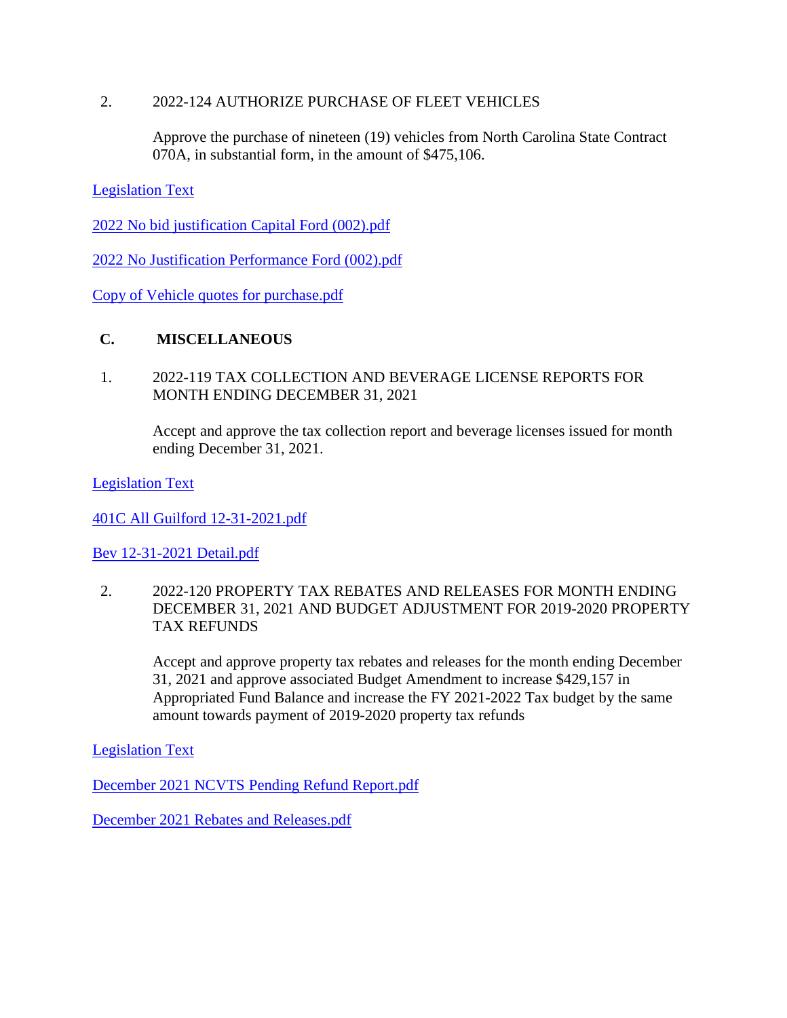### 2. 2022-124 AUTHORIZE PURCHASE OF FLEET VEHICLES

Approve the purchase of nineteen (19) vehicles from North Carolina State Contract 070A, in substantial form, in the amount of \$475,106.

[Legislation Text](https://guilford.legistar1.com/daystar.legistar6.sdk.ws/ViewReport.ashx?M=R&From=Granicus&GovernmentGUID=GLFD&N=TextL5&ID=4790&GUID=LATEST&Extra=L5&Title=Legislation+Text&ver=1642694364)

[2022 No bid justification Capital Ford \(002\).pdf](https://guilford.legistar1.com/daystar.legistar6.sdk.ws/View.ashx?M=F&GovernmentGUID=GLFD&LogicalFileName=fdb8c22f-ea57-40f3-887a-ed084d6c97fb.pdf&From=Granicus)

[2022 No Justification Performance Ford \(002\).pdf](https://guilford.legistar1.com/daystar.legistar6.sdk.ws/View.ashx?M=F&GovernmentGUID=GLFD&LogicalFileName=4a78c776-944d-432b-a844-1cd4d2fe0324.pdf&From=Granicus)

[Copy of Vehicle quotes for purchase.pdf](https://guilford.legistar1.com/daystar.legistar6.sdk.ws/View.ashx?M=F&GovernmentGUID=GLFD&LogicalFileName=03b43e16-56e2-4062-a3b0-6f4f00bb145a.pdf&From=Granicus)

### **C. MISCELLANEOUS**

1. 2022-119 TAX COLLECTION AND BEVERAGE LICENSE REPORTS FOR MONTH ENDING DECEMBER 31, 2021

Accept and approve the tax collection report and beverage licenses issued for month ending December 31, 2021.

[Legislation Text](https://guilford.legistar1.com/daystar.legistar6.sdk.ws/ViewReport.ashx?M=R&From=Granicus&GovernmentGUID=GLFD&N=TextL5&ID=4785&GUID=LATEST&Extra=L5&Title=Legislation+Text&ver=1642694365)

[401C All Guilford 12-31-2021.pdf](https://guilford.legistar1.com/daystar.legistar6.sdk.ws/View.ashx?M=F&GovernmentGUID=GLFD&LogicalFileName=4c147533-1eac-427a-add6-2a4498664d88.pdf&From=Granicus)

[Bev 12-31-2021 Detail.pdf](https://guilford.legistar1.com/daystar.legistar6.sdk.ws/View.ashx?M=F&GovernmentGUID=GLFD&LogicalFileName=006534ac-9711-4840-9728-05e865ab599e.pdf&From=Granicus)

2. 2022-120 PROPERTY TAX REBATES AND RELEASES FOR MONTH ENDING DECEMBER 31, 2021 AND BUDGET ADJUSTMENT FOR 2019-2020 PROPERTY TAX REFUNDS

Accept and approve property tax rebates and releases for the month ending December 31, 2021 and approve associated Budget Amendment to increase \$429,157 in Appropriated Fund Balance and increase the FY 2021-2022 Tax budget by the same amount towards payment of 2019-2020 property tax refunds

[Legislation Text](https://guilford.legistar1.com/daystar.legistar6.sdk.ws/ViewReport.ashx?M=R&From=Granicus&GovernmentGUID=GLFD&N=TextL5&ID=4786&GUID=LATEST&Extra=L5&Title=Legislation+Text&ver=1642694365)

[December 2021 NCVTS Pending Refund Report.pdf](https://guilford.legistar1.com/daystar.legistar6.sdk.ws/View.ashx?M=F&GovernmentGUID=GLFD&LogicalFileName=24fa6173-2617-4c34-bc89-44500fe2d657.pdf&From=Granicus)

[December 2021 Rebates and Releases.pdf](https://guilford.legistar1.com/daystar.legistar6.sdk.ws/View.ashx?M=F&GovernmentGUID=GLFD&LogicalFileName=9ad0fcd6-b156-4900-8e77-b3c957e58d79.pdf&From=Granicus)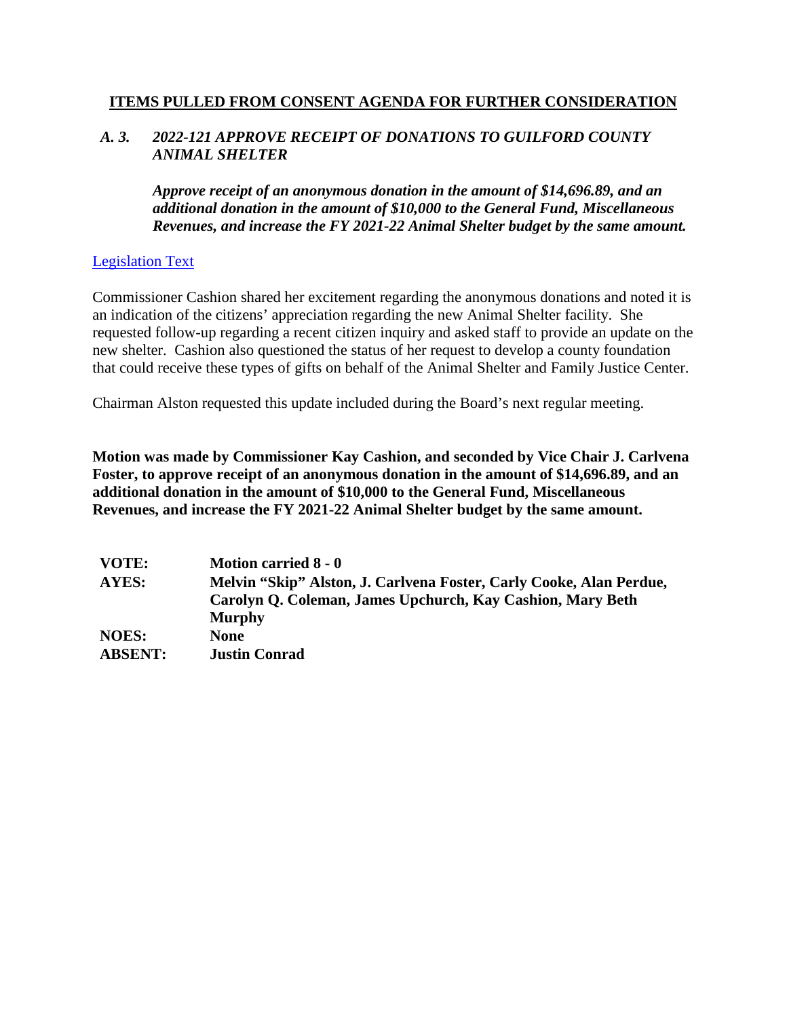#### **ITEMS PULLED FROM CONSENT AGENDA FOR FURTHER CONSIDERATION**

### *A. 3. 2022-121 APPROVE RECEIPT OF DONATIONS TO GUILFORD COUNTY ANIMAL SHELTER*

*Approve receipt of an anonymous donation in the amount of \$14,696.89, and an additional donation in the amount of \$10,000 to the General Fund, Miscellaneous Revenues, and increase the FY 2021-22 Animal Shelter budget by the same amount.*

### [Legislation Text](https://guilford.legistar1.com/daystar.legistar6.sdk.ws/ViewReport.ashx?M=R&From=Granicus&GovernmentGUID=GLFD&N=TextL5&ID=4787&GUID=LATEST&Extra=L5&Title=Legislation+Text&ver=1642694364)

Commissioner Cashion shared her excitement regarding the anonymous donations and noted it is an indication of the citizens' appreciation regarding the new Animal Shelter facility. She requested follow-up regarding a recent citizen inquiry and asked staff to provide an update on the new shelter. Cashion also questioned the status of her request to develop a county foundation that could receive these types of gifts on behalf of the Animal Shelter and Family Justice Center.

Chairman Alston requested this update included during the Board's next regular meeting.

**Motion was made by Commissioner Kay Cashion, and seconded by Vice Chair J. Carlvena Foster, to approve receipt of an anonymous donation in the amount of \$14,696.89, and an additional donation in the amount of \$10,000 to the General Fund, Miscellaneous Revenues, and increase the FY 2021-22 Animal Shelter budget by the same amount.**

| VOTE:          | <b>Motion carried 8 - 0</b>                                         |
|----------------|---------------------------------------------------------------------|
| AYES:          | Melvin "Skip" Alston, J. Carlvena Foster, Carly Cooke, Alan Perdue, |
|                | Carolyn Q. Coleman, James Upchurch, Kay Cashion, Mary Beth          |
|                | <b>Murphy</b>                                                       |
| <b>NOES:</b>   | <b>None</b>                                                         |
| <b>ABSENT:</b> | <b>Justin Conrad</b>                                                |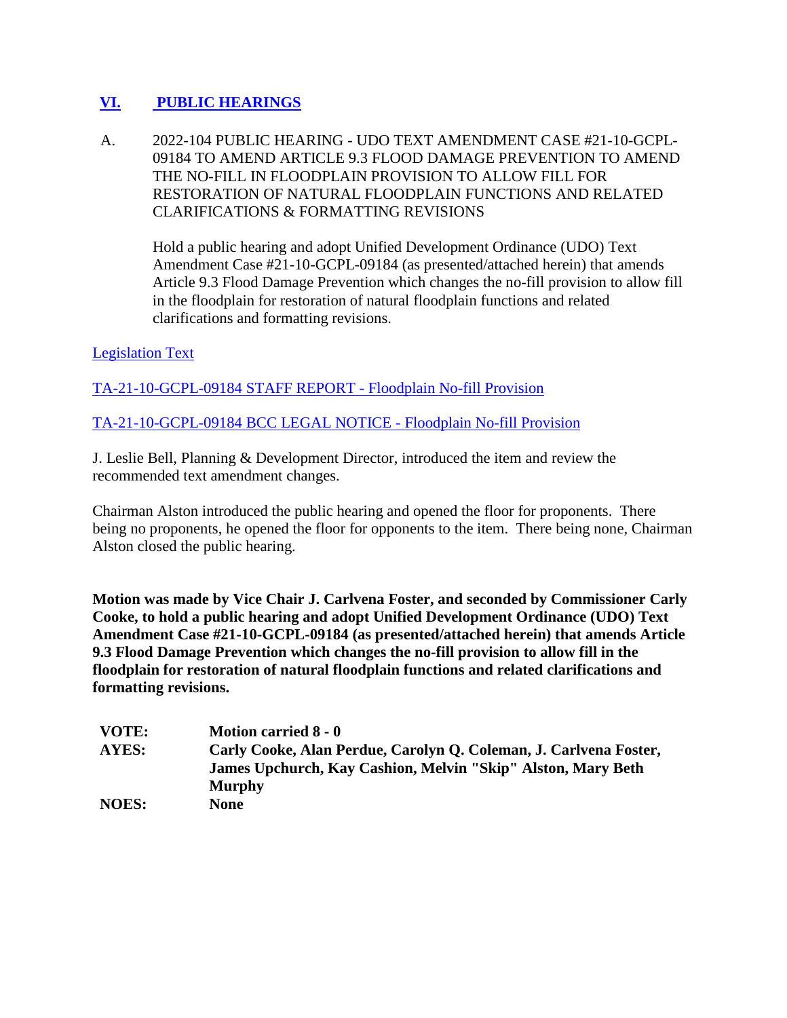# **[VI.](http://guilford.granicus.com/wordlinkreceiver.php?clip_id=323ae847-7abf-11ec-b1e1-0050569183fa&meta_id=3405d745-7abf-11ec-b1e1-0050569183fa&time=1100) [PUBLIC HEARINGS](http://guilford.granicus.com/wordlinkreceiver.php?clip_id=323ae847-7abf-11ec-b1e1-0050569183fa&meta_id=3405d745-7abf-11ec-b1e1-0050569183fa&time=1100)**

A. 2022-104 PUBLIC HEARING - UDO TEXT AMENDMENT CASE #21-10-GCPL-09184 TO AMEND ARTICLE 9.3 FLOOD DAMAGE PREVENTION TO AMEND THE NO-FILL IN FLOODPLAIN PROVISION TO ALLOW FILL FOR RESTORATION OF NATURAL FLOODPLAIN FUNCTIONS AND RELATED CLARIFICATIONS & FORMATTING REVISIONS

Hold a public hearing and adopt Unified Development Ordinance (UDO) Text Amendment Case #21-10-GCPL-09184 (as presented/attached herein) that amends Article 9.3 Flood Damage Prevention which changes the no-fill provision to allow fill in the floodplain for restoration of natural floodplain functions and related clarifications and formatting revisions.

### [Legislation Text](https://guilford.legistar1.com/daystar.legistar6.sdk.ws/ViewReport.ashx?M=R&From=Granicus&GovernmentGUID=GLFD&N=TextL5&ID=4770&GUID=LATEST&Extra=L5&Title=Legislation+Text&ver=1642694365)

[TA-21-10-GCPL-09184 STAFF REPORT -](https://guilford.legistar1.com/daystar.legistar6.sdk.ws/View.ashx?M=F&GovernmentGUID=GLFD&LogicalFileName=dfd82976-3786-4438-b6d2-818ba13a18b4.docx&From=Granicus) Floodplain No-fill Provision

[TA-21-10-GCPL-09184 BCC LEGAL NOTICE -](https://guilford.legistar1.com/daystar.legistar6.sdk.ws/View.ashx?M=F&GovernmentGUID=GLFD&LogicalFileName=96f86a0b-54f8-42f8-a95d-0effb3999394.docx&From=Granicus) Floodplain No-fill Provision

J. Leslie Bell, Planning & Development Director, introduced the item and review the recommended text amendment changes.

Chairman Alston introduced the public hearing and opened the floor for proponents. There being no proponents, he opened the floor for opponents to the item. There being none, Chairman Alston closed the public hearing.

**Motion was made by Vice Chair J. Carlvena Foster, and seconded by Commissioner Carly Cooke, to hold a public hearing and adopt Unified Development Ordinance (UDO) Text Amendment Case #21-10-GCPL-09184 (as presented/attached herein) that amends Article 9.3 Flood Damage Prevention which changes the no-fill provision to allow fill in the floodplain for restoration of natural floodplain functions and related clarifications and formatting revisions.**

| VOTE:        | <b>Motion carried 8 - 0</b>                                       |
|--------------|-------------------------------------------------------------------|
| AYES:        | Carly Cooke, Alan Perdue, Carolyn Q. Coleman, J. Carlvena Foster, |
|              | James Upchurch, Kay Cashion, Melvin "Skip" Alston, Mary Beth      |
|              | <b>Murphy</b>                                                     |
| <b>NOES:</b> | None                                                              |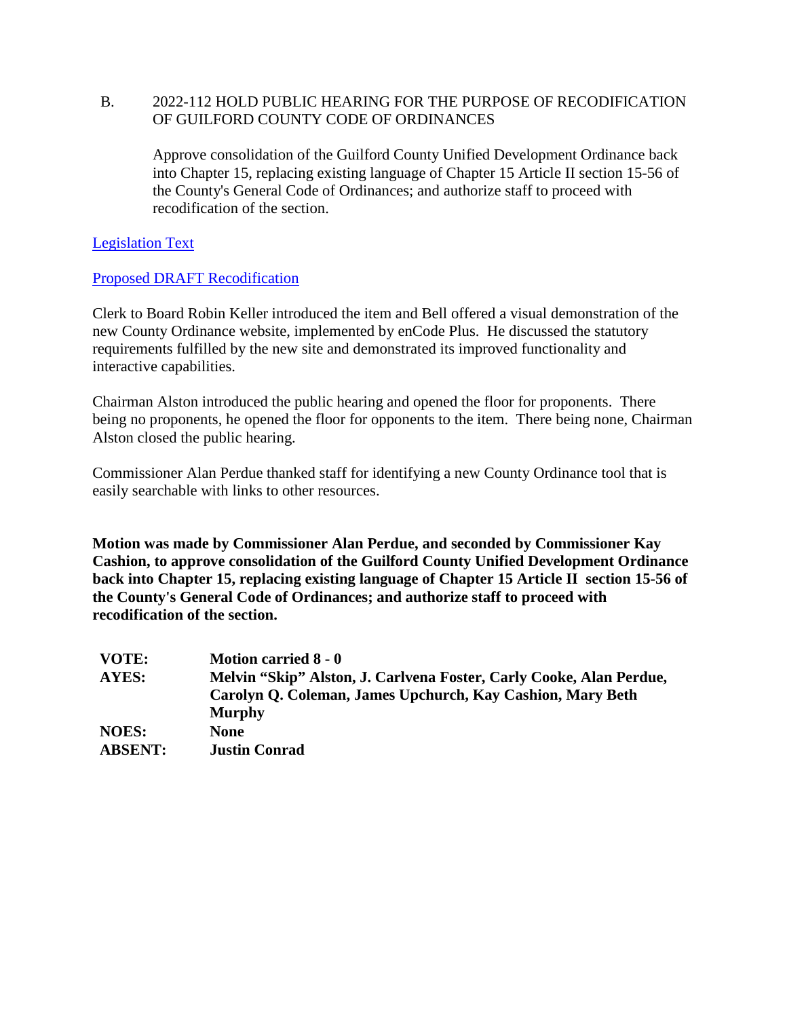### B. 2022-112 HOLD PUBLIC HEARING FOR THE PURPOSE OF RECODIFICATION OF GUILFORD COUNTY CODE OF ORDINANCES

Approve consolidation of the Guilford County Unified Development Ordinance back into Chapter 15, replacing existing language of Chapter 15 Article II section 15-56 of the County's General Code of Ordinances; and authorize staff to proceed with recodification of the section.

[Legislation Text](https://guilford.legistar1.com/daystar.legistar6.sdk.ws/ViewReport.ashx?M=R&From=Granicus&GovernmentGUID=GLFD&N=TextL5&ID=4778&GUID=LATEST&Extra=L5&Title=Legislation+Text&ver=1642694365)

[Proposed DRAFT Recodification](https://guilford.legistar1.com/daystar.legistar6.sdk.ws/View.ashx?M=F&GovernmentGUID=GLFD&LogicalFileName=c996da26-3961-435a-8b1b-76d999aefe76.pdf&From=Granicus)

Clerk to Board Robin Keller introduced the item and Bell offered a visual demonstration of the new County Ordinance website, implemented by enCode Plus. He discussed the statutory requirements fulfilled by the new site and demonstrated its improved functionality and interactive capabilities.

Chairman Alston introduced the public hearing and opened the floor for proponents. There being no proponents, he opened the floor for opponents to the item. There being none, Chairman Alston closed the public hearing.

Commissioner Alan Perdue thanked staff for identifying a new County Ordinance tool that is easily searchable with links to other resources.

**Motion was made by Commissioner Alan Perdue, and seconded by Commissioner Kay Cashion, to approve consolidation of the Guilford County Unified Development Ordinance back into Chapter 15, replacing existing language of Chapter 15 Article II section 15-56 of the County's General Code of Ordinances; and authorize staff to proceed with recodification of the section.**

| VOTE:          | Motion carried 8 - 0                                                |
|----------------|---------------------------------------------------------------------|
| AYES:          | Melvin "Skip" Alston, J. Carlvena Foster, Carly Cooke, Alan Perdue, |
|                | Carolyn Q. Coleman, James Upchurch, Kay Cashion, Mary Beth          |
|                | <b>Murphy</b>                                                       |
| <b>NOES:</b>   | <b>None</b>                                                         |
| <b>ABSENT:</b> | <b>Justin Conrad</b>                                                |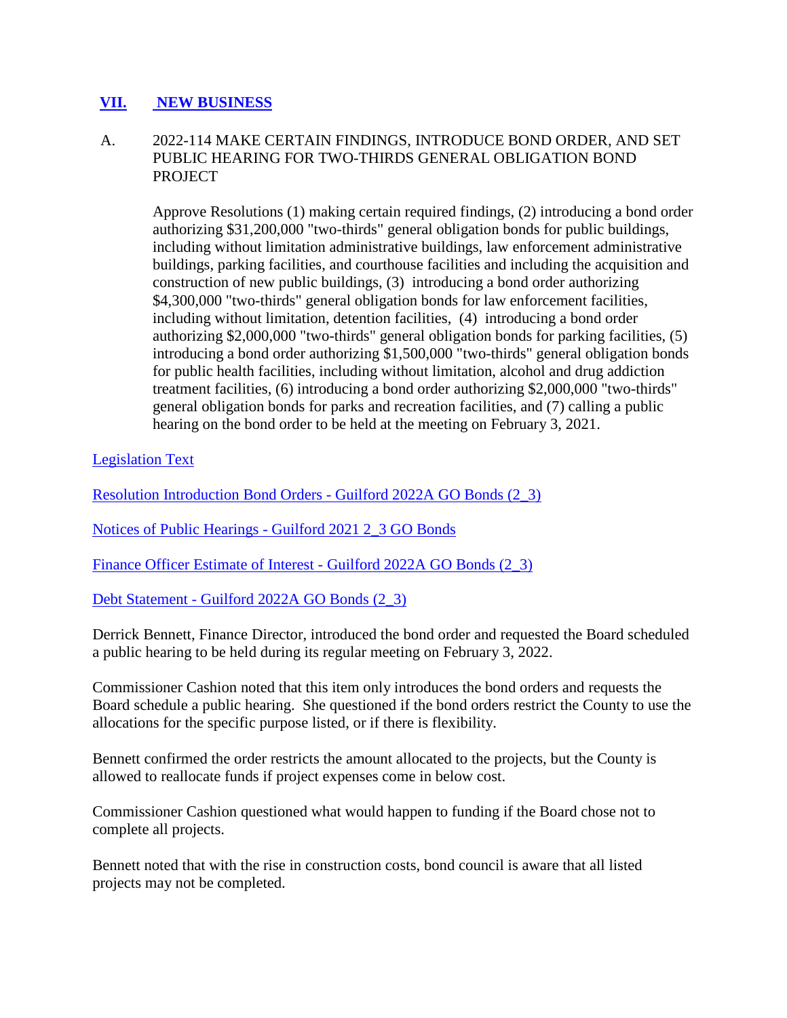# **[VII.](http://guilford.granicus.com/wordlinkreceiver.php?clip_id=323ae847-7abf-11ec-b1e1-0050569183fa&meta_id=3445064d-7abf-11ec-b1e1-0050569183fa&time=1787) [NEW BUSINESS](http://guilford.granicus.com/wordlinkreceiver.php?clip_id=323ae847-7abf-11ec-b1e1-0050569183fa&meta_id=3445064d-7abf-11ec-b1e1-0050569183fa&time=1787)**

## A. 2022-114 MAKE CERTAIN FINDINGS, INTRODUCE BOND ORDER, AND SET PUBLIC HEARING FOR TWO-THIRDS GENERAL OBLIGATION BOND PROJECT

Approve Resolutions (1) making certain required findings, (2) introducing a bond order authorizing \$31,200,000 "two-thirds" general obligation bonds for public buildings, including without limitation administrative buildings, law enforcement administrative buildings, parking facilities, and courthouse facilities and including the acquisition and construction of new public buildings, (3) introducing a bond order authorizing \$4,300,000 "two-thirds" general obligation bonds for law enforcement facilities, including without limitation, detention facilities, (4) introducing a bond order authorizing \$2,000,000 "two-thirds" general obligation bonds for parking facilities, (5) introducing a bond order authorizing \$1,500,000 "two-thirds" general obligation bonds for public health facilities, including without limitation, alcohol and drug addiction treatment facilities, (6) introducing a bond order authorizing \$2,000,000 "two-thirds" general obligation bonds for parks and recreation facilities, and (7) calling a public hearing on the bond order to be held at the meeting on February 3, 2021.

[Legislation Text](https://guilford.legistar1.com/daystar.legistar6.sdk.ws/ViewReport.ashx?M=R&From=Granicus&GovernmentGUID=GLFD&N=TextL5&ID=4780&GUID=LATEST&Extra=L5&Title=Legislation+Text&ver=1642694365)

[Resolution Introduction Bond Orders -](https://guilford.legistar1.com/daystar.legistar6.sdk.ws/View.ashx?M=F&GovernmentGUID=GLFD&LogicalFileName=c220e4d1-6412-4a7c-99dc-baef76ff9230.pdf&From=Granicus) Guilford 2022A GO Bonds (2\_3)

Notices of Public Hearings - [Guilford 2021 2\\_3 GO Bonds](https://guilford.legistar1.com/daystar.legistar6.sdk.ws/View.ashx?M=F&GovernmentGUID=GLFD&LogicalFileName=60bc272e-2b6b-4147-8c4f-ef14c24d53ac.pdf&From=Granicus)

[Finance Officer Estimate of Interest -](https://guilford.legistar1.com/daystar.legistar6.sdk.ws/View.ashx?M=F&GovernmentGUID=GLFD&LogicalFileName=e33e94f9-dac7-4652-9965-6423e124dd41.pdf&From=Granicus) Guilford 2022A GO Bonds (2\_3)

Debt Statement - [Guilford 2022A GO Bonds \(2\\_3\)](https://guilford.legistar1.com/daystar.legistar6.sdk.ws/View.ashx?M=F&GovernmentGUID=GLFD&LogicalFileName=79e29137-00ec-41c0-8985-c412f8423022.pdf&From=Granicus)

Derrick Bennett, Finance Director, introduced the bond order and requested the Board scheduled a public hearing to be held during its regular meeting on February 3, 2022.

Commissioner Cashion noted that this item only introduces the bond orders and requests the Board schedule a public hearing. She questioned if the bond orders restrict the County to use the allocations for the specific purpose listed, or if there is flexibility.

Bennett confirmed the order restricts the amount allocated to the projects, but the County is allowed to reallocate funds if project expenses come in below cost.

Commissioner Cashion questioned what would happen to funding if the Board chose not to complete all projects.

Bennett noted that with the rise in construction costs, bond council is aware that all listed projects may not be completed.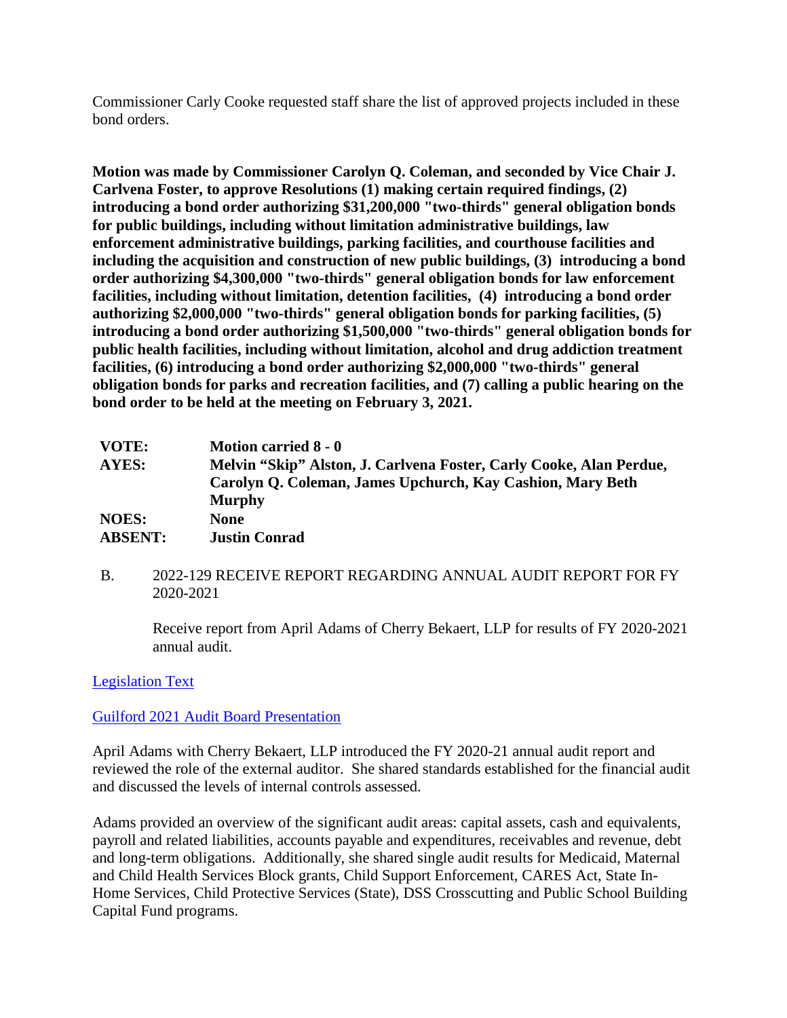Commissioner Carly Cooke requested staff share the list of approved projects included in these bond orders.

**Motion was made by Commissioner Carolyn Q. Coleman, and seconded by Vice Chair J. Carlvena Foster, to approve Resolutions (1) making certain required findings, (2) introducing a bond order authorizing \$31,200,000 "two-thirds" general obligation bonds for public buildings, including without limitation administrative buildings, law enforcement administrative buildings, parking facilities, and courthouse facilities and including the acquisition and construction of new public buildings, (3) introducing a bond order authorizing \$4,300,000 "two-thirds" general obligation bonds for law enforcement facilities, including without limitation, detention facilities, (4) introducing a bond order authorizing \$2,000,000 "two-thirds" general obligation bonds for parking facilities, (5) introducing a bond order authorizing \$1,500,000 "two-thirds" general obligation bonds for public health facilities, including without limitation, alcohol and drug addiction treatment facilities, (6) introducing a bond order authorizing \$2,000,000 "two-thirds" general obligation bonds for parks and recreation facilities, and (7) calling a public hearing on the bond order to be held at the meeting on February 3, 2021.**

| VOTE:          | <b>Motion carried 8 - 0</b>                                         |
|----------------|---------------------------------------------------------------------|
| AYES:          | Melvin "Skip" Alston, J. Carlvena Foster, Carly Cooke, Alan Perdue, |
|                | Carolyn Q. Coleman, James Upchurch, Kay Cashion, Mary Beth          |
|                | <b>Murphy</b>                                                       |
| <b>NOES:</b>   | <b>None</b>                                                         |
| <b>ABSENT:</b> | <b>Justin Conrad</b>                                                |

B. 2022-129 RECEIVE REPORT REGARDING ANNUAL AUDIT REPORT FOR FY 2020-2021

Receive report from April Adams of Cherry Bekaert, LLP for results of FY 2020-2021 annual audit.

## [Legislation Text](https://guilford.legistar1.com/daystar.legistar6.sdk.ws/ViewReport.ashx?M=R&From=Granicus&GovernmentGUID=GLFD&N=TextL5&ID=4795&GUID=LATEST&Extra=L5&Title=Legislation+Text&ver=1642694365)

#### [Guilford 2021 Audit Board Presentation](https://guilford.legistar1.com/daystar.legistar6.sdk.ws/View.ashx?M=F&GovernmentGUID=GLFD&LogicalFileName=4c53e6cd-d81d-4c3c-b6d1-32dc30b76487.pdf&From=Granicus)

April Adams with Cherry Bekaert, LLP introduced the FY 2020-21 annual audit report and reviewed the role of the external auditor. She shared standards established for the financial audit and discussed the levels of internal controls assessed.

Adams provided an overview of the significant audit areas: capital assets, cash and equivalents, payroll and related liabilities, accounts payable and expenditures, receivables and revenue, debt and long-term obligations. Additionally, she shared single audit results for Medicaid, Maternal and Child Health Services Block grants, Child Support Enforcement, CARES Act, State In-Home Services, Child Protective Services (State), DSS Crosscutting and Public School Building Capital Fund programs.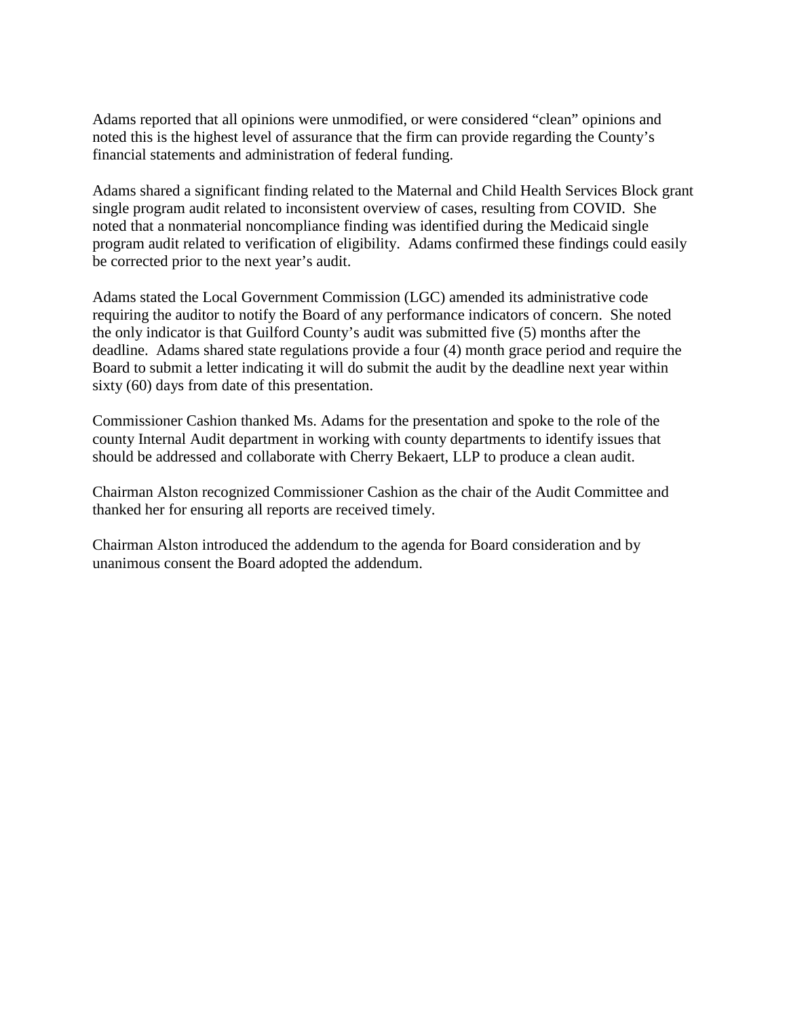Adams reported that all opinions were unmodified, or were considered "clean" opinions and noted this is the highest level of assurance that the firm can provide regarding the County's financial statements and administration of federal funding.

Adams shared a significant finding related to the Maternal and Child Health Services Block grant single program audit related to inconsistent overview of cases, resulting from COVID. She noted that a nonmaterial noncompliance finding was identified during the Medicaid single program audit related to verification of eligibility. Adams confirmed these findings could easily be corrected prior to the next year's audit.

Adams stated the Local Government Commission (LGC) amended its administrative code requiring the auditor to notify the Board of any performance indicators of concern. She noted the only indicator is that Guilford County's audit was submitted five (5) months after the deadline. Adams shared state regulations provide a four (4) month grace period and require the Board to submit a letter indicating it will do submit the audit by the deadline next year within sixty (60) days from date of this presentation.

Commissioner Cashion thanked Ms. Adams for the presentation and spoke to the role of the county Internal Audit department in working with county departments to identify issues that should be addressed and collaborate with Cherry Bekaert, LLP to produce a clean audit.

Chairman Alston recognized Commissioner Cashion as the chair of the Audit Committee and thanked her for ensuring all reports are received timely.

Chairman Alston introduced the addendum to the agenda for Board consideration and by unanimous consent the Board adopted the addendum.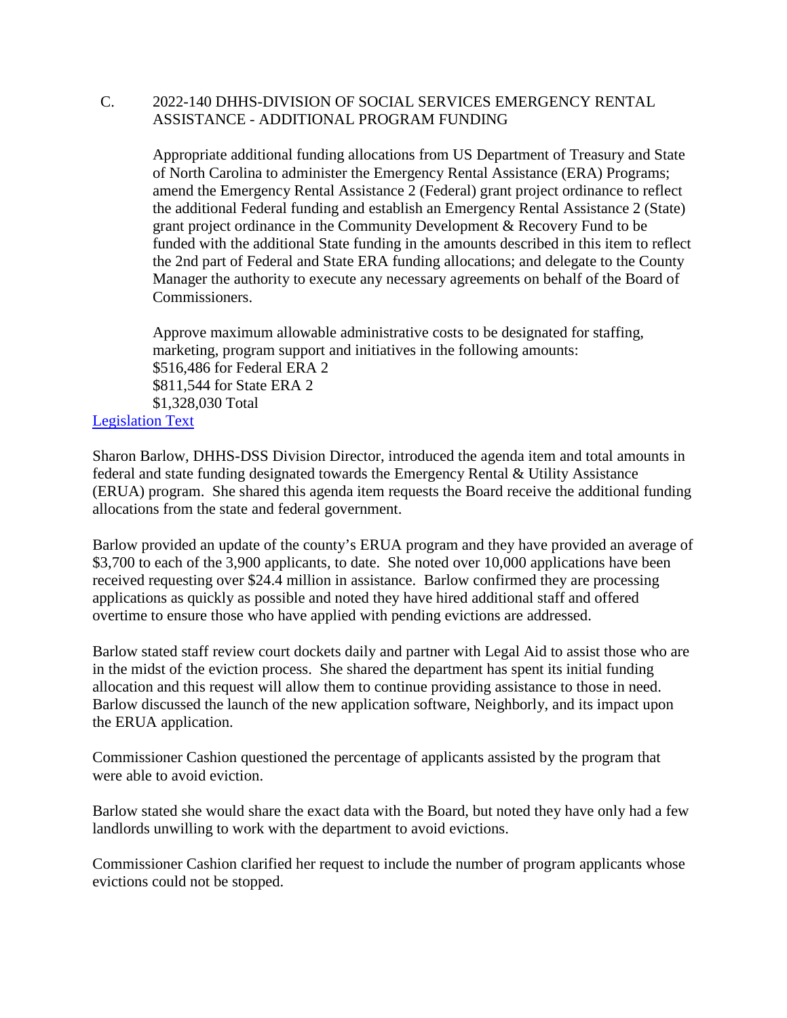#### C. 2022-140 DHHS-DIVISION OF SOCIAL SERVICES EMERGENCY RENTAL ASSISTANCE - ADDITIONAL PROGRAM FUNDING

Appropriate additional funding allocations from US Department of Treasury and State of North Carolina to administer the Emergency Rental Assistance (ERA) Programs; amend the Emergency Rental Assistance 2 (Federal) grant project ordinance to reflect the additional Federal funding and establish an Emergency Rental Assistance 2 (State) grant project ordinance in the Community Development & Recovery Fund to be funded with the additional State funding in the amounts described in this item to reflect the 2nd part of Federal and State ERA funding allocations; and delegate to the County Manager the authority to execute any necessary agreements on behalf of the Board of Commissioners.

Approve maximum allowable administrative costs to be designated for staffing, marketing, program support and initiatives in the following amounts: \$516,486 for Federal ERA 2 \$811,544 for State ERA 2 \$1,328,030 Total [Legislation Text](https://guilford.legistar1.com/daystar.legistar6.sdk.ws/ViewReport.ashx?M=R&From=Granicus&GovernmentGUID=GLFD&N=TextL5&ID=4806&GUID=LATEST&Extra=L5&Title=Legislation+Text&ver=1642694365)

Sharon Barlow, DHHS-DSS Division Director, introduced the agenda item and total amounts in federal and state funding designated towards the Emergency Rental & Utility Assistance (ERUA) program. She shared this agenda item requests the Board receive the additional funding allocations from the state and federal government.

Barlow provided an update of the county's ERUA program and they have provided an average of \$3,700 to each of the 3,900 applicants, to date. She noted over 10,000 applications have been received requesting over \$24.4 million in assistance. Barlow confirmed they are processing applications as quickly as possible and noted they have hired additional staff and offered overtime to ensure those who have applied with pending evictions are addressed.

Barlow stated staff review court dockets daily and partner with Legal Aid to assist those who are in the midst of the eviction process. She shared the department has spent its initial funding allocation and this request will allow them to continue providing assistance to those in need. Barlow discussed the launch of the new application software, Neighborly, and its impact upon the ERUA application.

Commissioner Cashion questioned the percentage of applicants assisted by the program that were able to avoid eviction.

Barlow stated she would share the exact data with the Board, but noted they have only had a few landlords unwilling to work with the department to avoid evictions.

Commissioner Cashion clarified her request to include the number of program applicants whose evictions could not be stopped.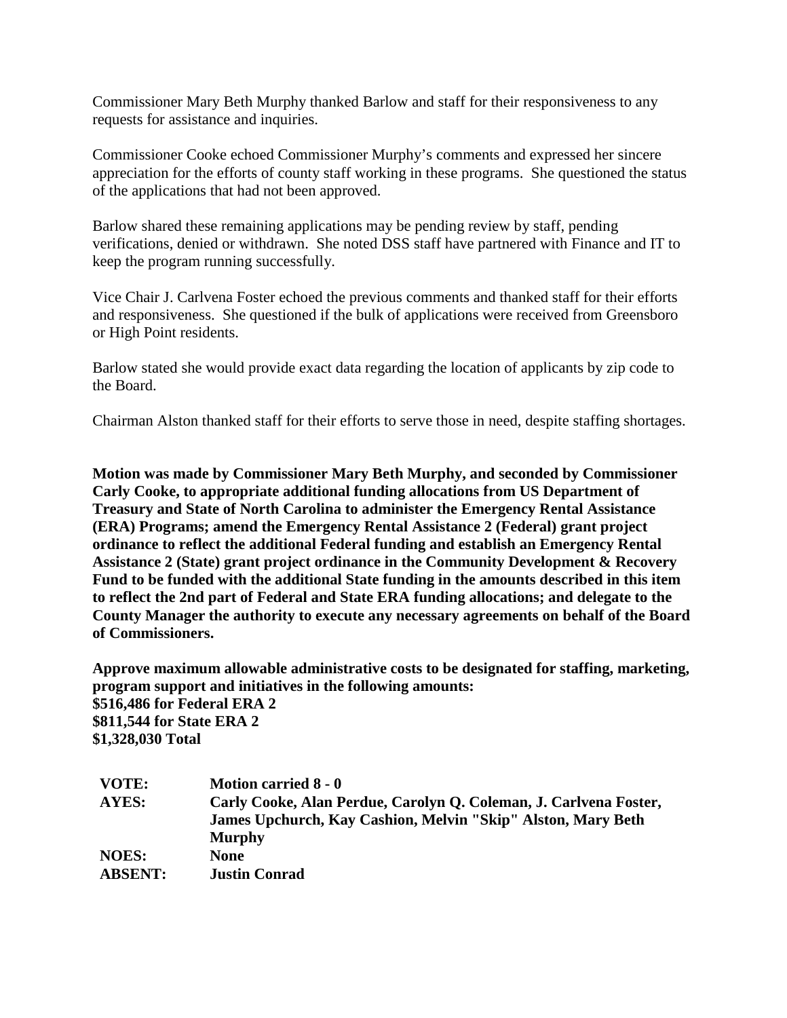Commissioner Mary Beth Murphy thanked Barlow and staff for their responsiveness to any requests for assistance and inquiries.

Commissioner Cooke echoed Commissioner Murphy's comments and expressed her sincere appreciation for the efforts of county staff working in these programs. She questioned the status of the applications that had not been approved.

Barlow shared these remaining applications may be pending review by staff, pending verifications, denied or withdrawn. She noted DSS staff have partnered with Finance and IT to keep the program running successfully.

Vice Chair J. Carlvena Foster echoed the previous comments and thanked staff for their efforts and responsiveness. She questioned if the bulk of applications were received from Greensboro or High Point residents.

Barlow stated she would provide exact data regarding the location of applicants by zip code to the Board.

Chairman Alston thanked staff for their efforts to serve those in need, despite staffing shortages.

**Motion was made by Commissioner Mary Beth Murphy, and seconded by Commissioner Carly Cooke, to appropriate additional funding allocations from US Department of Treasury and State of North Carolina to administer the Emergency Rental Assistance (ERA) Programs; amend the Emergency Rental Assistance 2 (Federal) grant project ordinance to reflect the additional Federal funding and establish an Emergency Rental Assistance 2 (State) grant project ordinance in the Community Development & Recovery Fund to be funded with the additional State funding in the amounts described in this item to reflect the 2nd part of Federal and State ERA funding allocations; and delegate to the County Manager the authority to execute any necessary agreements on behalf of the Board of Commissioners.**

**Approve maximum allowable administrative costs to be designated for staffing, marketing, program support and initiatives in the following amounts: \$516,486 for Federal ERA 2 \$811,544 for State ERA 2 \$1,328,030 Total**

| VOTE:          | Motion carried 8 - 0                                              |
|----------------|-------------------------------------------------------------------|
| AYES:          | Carly Cooke, Alan Perdue, Carolyn Q. Coleman, J. Carlvena Foster, |
|                | James Upchurch, Kay Cashion, Melvin "Skip" Alston, Mary Beth      |
|                | <b>Murphy</b>                                                     |
| <b>NOES:</b>   | <b>None</b>                                                       |
| <b>ABSENT:</b> | <b>Justin Conrad</b>                                              |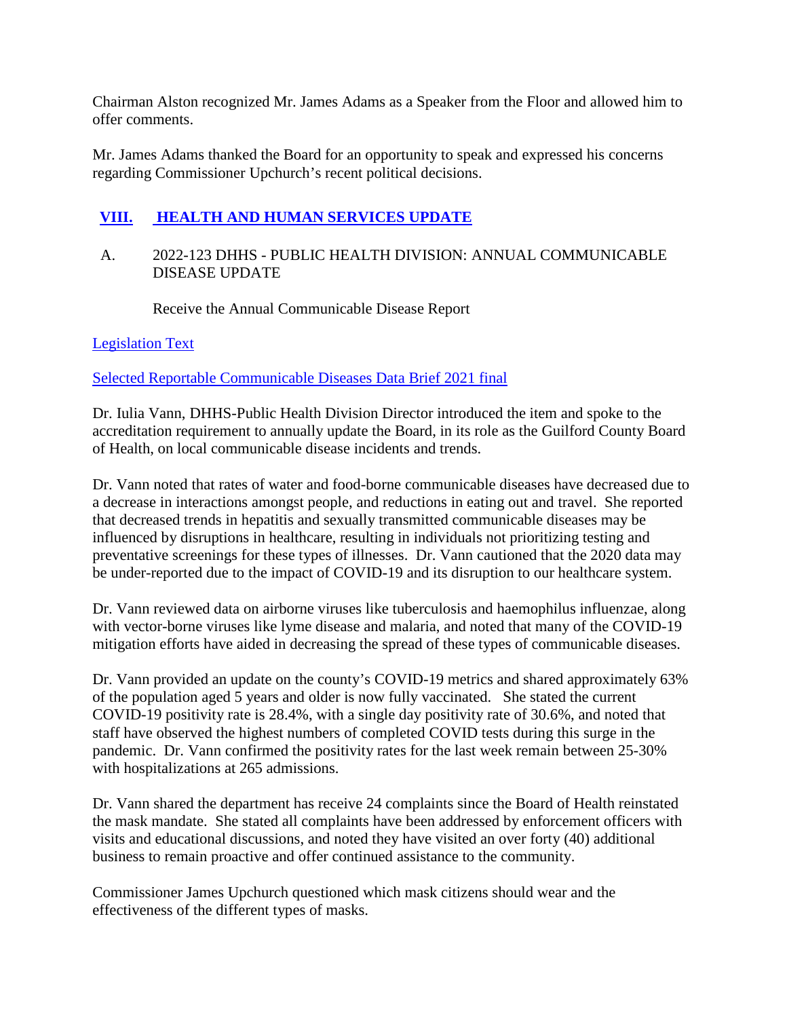Chairman Alston recognized Mr. James Adams as a Speaker from the Floor and allowed him to offer comments.

Mr. James Adams thanked the Board for an opportunity to speak and expressed his concerns regarding Commissioner Upchurch's recent political decisions.

# **[VIII.](http://guilford.granicus.com/wordlinkreceiver.php?clip_id=323ae847-7abf-11ec-b1e1-0050569183fa&meta_id=34be9897-7abf-11ec-b1e1-0050569183fa&time=4064) [HEALTH AND HUMAN SERVICES UPDATE](http://guilford.granicus.com/wordlinkreceiver.php?clip_id=323ae847-7abf-11ec-b1e1-0050569183fa&meta_id=34be9897-7abf-11ec-b1e1-0050569183fa&time=4064)**

# A. 2022-123 DHHS - PUBLIC HEALTH DIVISION: ANNUAL COMMUNICABLE DISEASE UPDATE

Receive the Annual Communicable Disease Report

[Legislation Text](https://guilford.legistar1.com/daystar.legistar6.sdk.ws/ViewReport.ashx?M=R&From=Granicus&GovernmentGUID=GLFD&N=TextL5&ID=4789&GUID=LATEST&Extra=L5&Title=Legislation+Text&ver=1642694365)

[Selected Reportable Communicable Diseases Data Brief 2021 final](https://guilford.legistar1.com/daystar.legistar6.sdk.ws/View.ashx?M=F&GovernmentGUID=GLFD&LogicalFileName=bfdf7798-8420-4ad0-a1b9-b9698c8c453d.docx&From=Granicus)

Dr. Iulia Vann, DHHS-Public Health Division Director introduced the item and spoke to the accreditation requirement to annually update the Board, in its role as the Guilford County Board of Health, on local communicable disease incidents and trends.

Dr. Vann noted that rates of water and food-borne communicable diseases have decreased due to a decrease in interactions amongst people, and reductions in eating out and travel. She reported that decreased trends in hepatitis and sexually transmitted communicable diseases may be influenced by disruptions in healthcare, resulting in individuals not prioritizing testing and preventative screenings for these types of illnesses. Dr. Vann cautioned that the 2020 data may be under-reported due to the impact of COVID-19 and its disruption to our healthcare system.

Dr. Vann reviewed data on airborne viruses like tuberculosis and haemophilus influenzae, along with vector-borne viruses like lyme disease and malaria, and noted that many of the COVID-19 mitigation efforts have aided in decreasing the spread of these types of communicable diseases.

Dr. Vann provided an update on the county's COVID-19 metrics and shared approximately 63% of the population aged 5 years and older is now fully vaccinated. She stated the current COVID-19 positivity rate is 28.4%, with a single day positivity rate of 30.6%, and noted that staff have observed the highest numbers of completed COVID tests during this surge in the pandemic. Dr. Vann confirmed the positivity rates for the last week remain between 25-30% with hospitalizations at 265 admissions.

Dr. Vann shared the department has receive 24 complaints since the Board of Health reinstated the mask mandate. She stated all complaints have been addressed by enforcement officers with visits and educational discussions, and noted they have visited an over forty (40) additional business to remain proactive and offer continued assistance to the community.

Commissioner James Upchurch questioned which mask citizens should wear and the effectiveness of the different types of masks.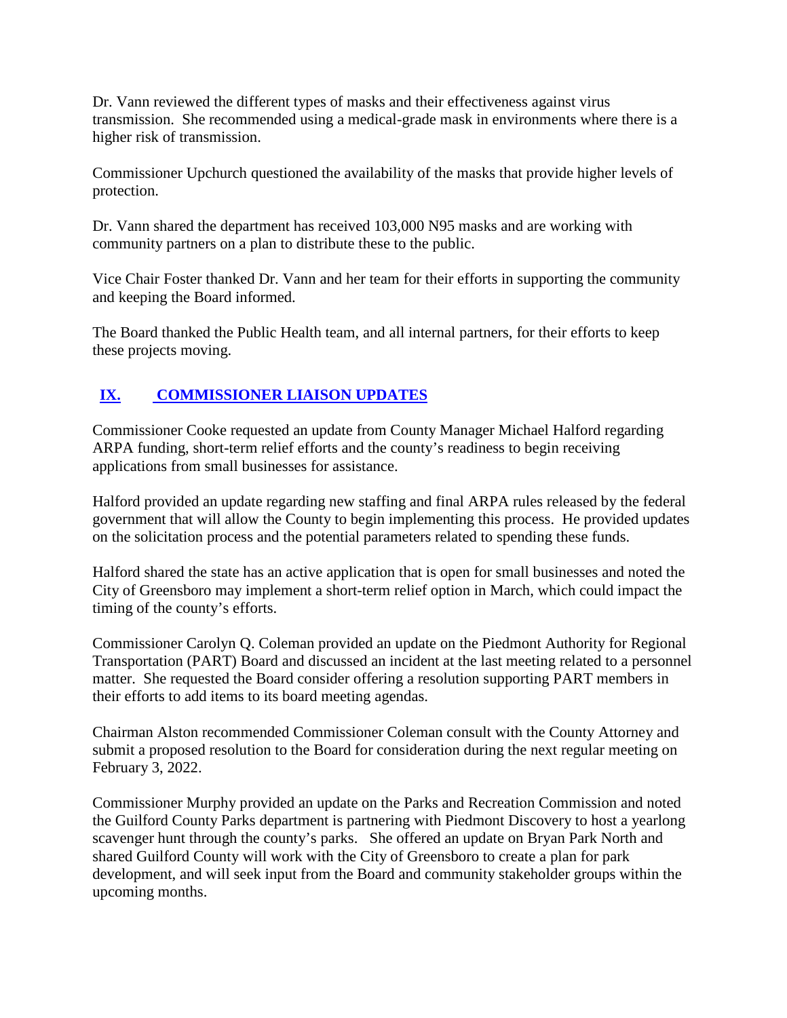Dr. Vann reviewed the different types of masks and their effectiveness against virus transmission. She recommended using a medical-grade mask in environments where there is a higher risk of transmission.

Commissioner Upchurch questioned the availability of the masks that provide higher levels of protection.

Dr. Vann shared the department has received 103,000 N95 masks and are working with community partners on a plan to distribute these to the public.

Vice Chair Foster thanked Dr. Vann and her team for their efforts in supporting the community and keeping the Board informed.

The Board thanked the Public Health team, and all internal partners, for their efforts to keep these projects moving.

# **[IX.](http://guilford.granicus.com/wordlinkreceiver.php?clip_id=323ae847-7abf-11ec-b1e1-0050569183fa&meta_id=34ded8e1-7abf-11ec-b1e1-0050569183fa&time=5754) [COMMISSIONER LIAISON UPDATES](http://guilford.granicus.com/wordlinkreceiver.php?clip_id=323ae847-7abf-11ec-b1e1-0050569183fa&meta_id=34ded8e1-7abf-11ec-b1e1-0050569183fa&time=5754)**

Commissioner Cooke requested an update from County Manager Michael Halford regarding ARPA funding, short-term relief efforts and the county's readiness to begin receiving applications from small businesses for assistance.

Halford provided an update regarding new staffing and final ARPA rules released by the federal government that will allow the County to begin implementing this process. He provided updates on the solicitation process and the potential parameters related to spending these funds.

Halford shared the state has an active application that is open for small businesses and noted the City of Greensboro may implement a short-term relief option in March, which could impact the timing of the county's efforts.

Commissioner Carolyn Q. Coleman provided an update on the Piedmont Authority for Regional Transportation (PART) Board and discussed an incident at the last meeting related to a personnel matter. She requested the Board consider offering a resolution supporting PART members in their efforts to add items to its board meeting agendas.

Chairman Alston recommended Commissioner Coleman consult with the County Attorney and submit a proposed resolution to the Board for consideration during the next regular meeting on February 3, 2022.

Commissioner Murphy provided an update on the Parks and Recreation Commission and noted the Guilford County Parks department is partnering with Piedmont Discovery to host a yearlong scavenger hunt through the county's parks. She offered an update on Bryan Park North and shared Guilford County will work with the City of Greensboro to create a plan for park development, and will seek input from the Board and community stakeholder groups within the upcoming months.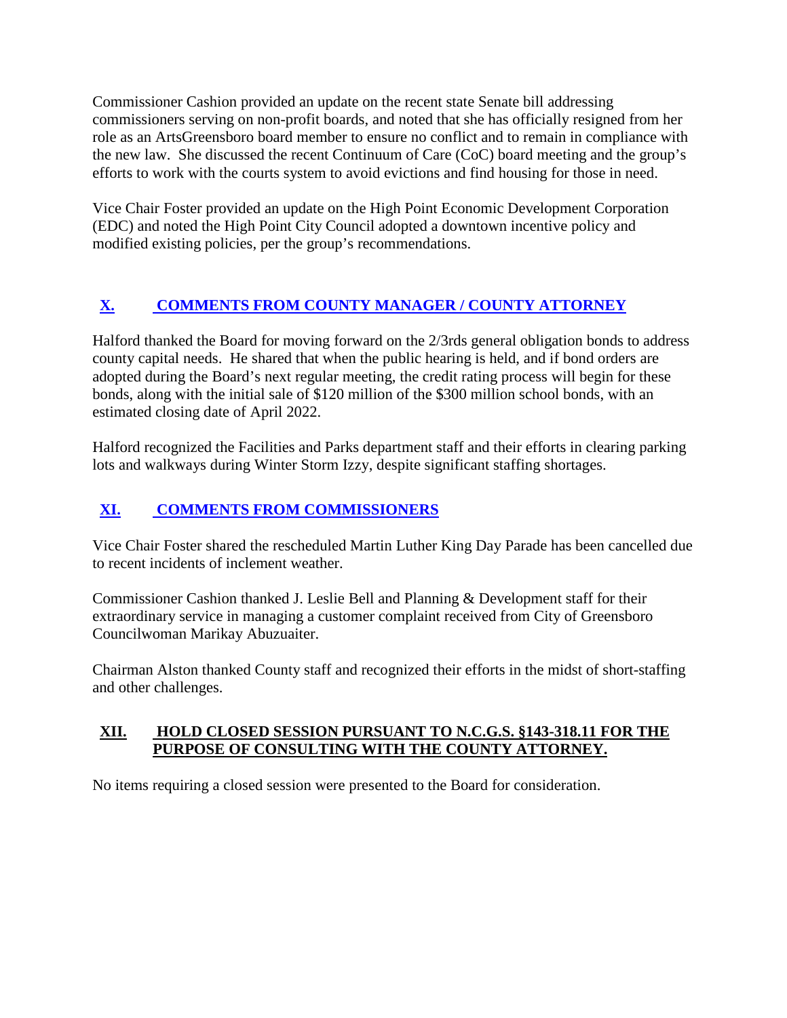Commissioner Cashion provided an update on the recent state Senate bill addressing commissioners serving on non-profit boards, and noted that she has officially resigned from her role as an ArtsGreensboro board member to ensure no conflict and to remain in compliance with the new law. She discussed the recent Continuum of Care (CoC) board meeting and the group's efforts to work with the courts system to avoid evictions and find housing for those in need.

Vice Chair Foster provided an update on the High Point Economic Development Corporation (EDC) and noted the High Point City Council adopted a downtown incentive policy and modified existing policies, per the group's recommendations.

# **[X.](http://guilford.granicus.com/wordlinkreceiver.php?clip_id=323ae847-7abf-11ec-b1e1-0050569183fa&meta_id=34f112e9-7abf-11ec-b1e1-0050569183fa&time=6678) [COMMENTS FROM COUNTY MANAGER / COUNTY ATTORNEY](http://guilford.granicus.com/wordlinkreceiver.php?clip_id=323ae847-7abf-11ec-b1e1-0050569183fa&meta_id=34f112e9-7abf-11ec-b1e1-0050569183fa&time=6678)**

Halford thanked the Board for moving forward on the 2/3rds general obligation bonds to address county capital needs. He shared that when the public hearing is held, and if bond orders are adopted during the Board's next regular meeting, the credit rating process will begin for these bonds, along with the initial sale of \$120 million of the \$300 million school bonds, with an estimated closing date of April 2022.

Halford recognized the Facilities and Parks department staff and their efforts in clearing parking lots and walkways during Winter Storm Izzy, despite significant staffing shortages.

# **[XI.](http://guilford.granicus.com/wordlinkreceiver.php?clip_id=323ae847-7abf-11ec-b1e1-0050569183fa&meta_id=34f8e400-7abf-11ec-b1e1-0050569183fa&time=6812) [COMMENTS FROM COMMISSIONERS](http://guilford.granicus.com/wordlinkreceiver.php?clip_id=323ae847-7abf-11ec-b1e1-0050569183fa&meta_id=34f8e400-7abf-11ec-b1e1-0050569183fa&time=6812)**

Vice Chair Foster shared the rescheduled Martin Luther King Day Parade has been cancelled due to recent incidents of inclement weather.

Commissioner Cashion thanked J. Leslie Bell and Planning & Development staff for their extraordinary service in managing a customer complaint received from City of Greensboro Councilwoman Marikay Abuzuaiter.

Chairman Alston thanked County staff and recognized their efforts in the midst of short-staffing and other challenges.

# **XII. HOLD CLOSED SESSION PURSUANT TO N.C.G.S. §143-318.11 FOR THE PURPOSE OF CONSULTING WITH THE COUNTY ATTORNEY.**

No items requiring a closed session were presented to the Board for consideration.